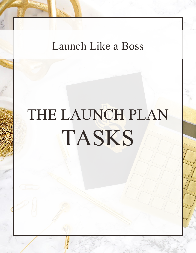### Launch Like a Boss

# THE LAUNCH PLAN TASKS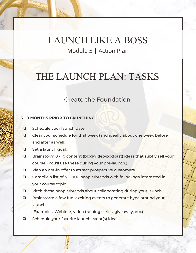### LAUNCH LIKE A BOSS Module 5 | Action Plan

### THE LAUNCH PLAN: TASKS

#### Create the Foundation

#### **3 - 9 MONTHS PRIOR TO LAUNCHING**

- ❏ Schedule your launch date.
- ❏ Clear your schedule for that week (and ideally about one week before and after as well).
- ❏ Set a launch goal.
- ❏ Brainstorm 8 10 content (blog/video/podcast) ideas that subtly sell your course. (You'll use these during your pre-launch.)
- ❏ Plan an opt-in offer to attract prospective customers.
- ❏ Compile a list of 30 100 people/brands with followings interested in your course topic.
- ❏ Pitch these people/brands about collaborating during your launch.
- ❏ Brainstorm a few fun, exciting events to generate hype around your launch.

(Examples: Webinar, video training series, giveaway, etc.)

❏ Schedule your favorite launch event(s) idea.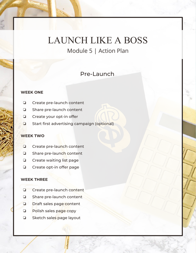Module 5 | Action Plan

#### Pre-Launch

#### **WEEK ONE**

- ❏ Create pre-launch content
- ❏ Share pre-launch content
- ❏ Create your opt-in offer
- ❏ Start first advertising campaign (optional)

#### **WEEK TWO**

- ❏ Create pre-launch content
- ❏ Share pre-launch content
- ❏ Create waiting list page
- ❏ Create opt-in offer page

#### **WEEK THREE**

- ❏ Create pre-launch content
- ❏ Share pre-launch content
- ❏ Draft sales page content
- ❏ Polish sales page copy
- ❏ Sketch sales page layout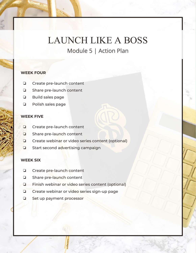Module 5 | Action Plan

#### **WEEK FOUR**

- ❏ Create pre-launch content
- ❏ Share pre-launch content
- ❏ Build sales page
- ❏ Polish sales page

#### **WEEK FIVE**

- ❏ Create pre-launch content
- ❏ Share pre-launch content
- ❏ Create webinar or video series content (optional)
- ❏ Start second advertising campaign

#### **WEEK SIX**

- ❏ Create pre-launch content
- ❏ Share pre-launch content
- ❏ Finish webinar or video series content (optional)
- ❏ Create webinar or video series sign-up page
- ❏ Set up payment processor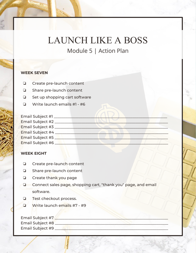Module 5 | Action Plan

#### **WEEK SEVEN**

- ❏ Create pre-launch content
- ❏ Share pre-launch content
- ❏ Set up shopping cart software
- ❏ Write launch emails #1 #6

| Email Subject #1 |  |
|------------------|--|
| Email Subject #2 |  |
| Email Subject #3 |  |
| Email Subject #4 |  |
| Email Subject #5 |  |
| Email Subject #6 |  |

#### **WEEK EIGHT**

- ❏ Create pre-launch content
- ❏ Share pre-launch content
- □ Create thank you page
- ❏ Connect sales page, shopping cart, "thank you" page, and email software.
- ❏ Test checkout process.
- ❏ Write launch emails #7 #9

| Email Subject #7        |  |  |
|-------------------------|--|--|
| <b>Email Subject #8</b> |  |  |
| Email Subject #9        |  |  |